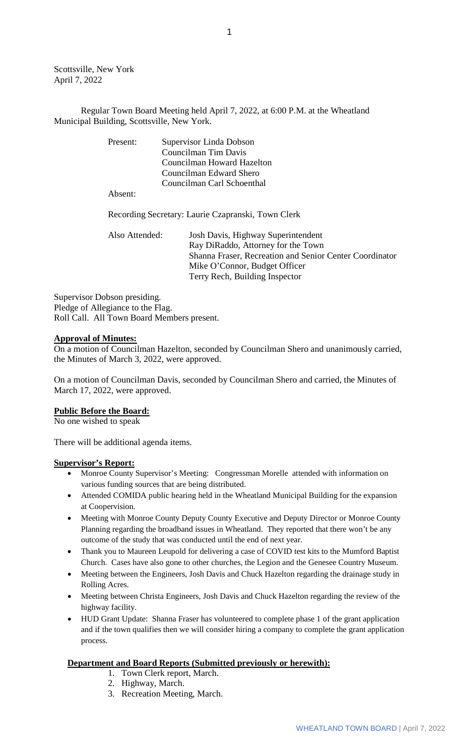Scottsville, New York April 7, 2022

Regular Town Board Meeting held April 7, 2022, at 6:00 P.M. at the Wheatland Municipal Building, Scottsville, New York.

| Present: | Supervisor Linda Dobson    |  |
|----------|----------------------------|--|
|          | Councilman Tim Davis       |  |
|          | Councilman Howard Hazelton |  |
|          | Councilman Edward Shero    |  |
|          | Councilman Carl Schoenthal |  |
| Absent:  |                            |  |

Recording Secretary: Laurie Czapranski, Town Clerk

Also Attended: Josh Davis, Highway Superintendent Ray DiRaddo, Attorney for the Town Shanna Fraser, Recreation and Senior Center Coordinator Mike O'Connor, Budget Officer Terry Rech, Building Inspector

Supervisor Dobson presiding. Pledge of Allegiance to the Flag. Roll Call. All Town Board Members present.

#### **Approval of Minutes:**

On a motion of Councilman Hazelton, seconded by Councilman Shero and unanimously carried, the Minutes of March 3, 2022, were approved.

On a motion of Councilman Davis, seconded by Councilman Shero and carried, the Minutes of March 17, 2022, were approved.

#### **Public Before the Board:**

No one wished to speak

There will be additional agenda items.

#### **Supervisor's Report:**

- Monroe County Supervisor's Meeting: Congressman Morelle attended with information on various funding sources that are being distributed.
- Attended COMIDA public hearing held in the Wheatland Municipal Building for the expansion at Coopervision.
- Meeting with Monroe County Deputy County Executive and Deputy Director or Monroe County Planning regarding the broadband issues in Wheatland. They reported that there won't be any outcome of the study that was conducted until the end of next year.
- Thank you to Maureen Leupold for delivering a case of COVID test kits to the Mumford Baptist Church. Cases have also gone to other churches, the Legion and the Genesee Country Museum.
- Meeting between the Engineers, Josh Davis and Chuck Hazelton regarding the drainage study in Rolling Acres.
- Meeting between Christa Engineers, Josh Davis and Chuck Hazelton regarding the review of the highway facility.
- HUD Grant Update: Shanna Fraser has volunteered to complete phase 1 of the grant application and if the town qualifies then we will consider hiring a company to complete the grant application process.

# **Department and Board Reports (Submitted previously or herewith):**

- 1. Town Clerk report, March.
- 2. Highway, March.
- 3. Recreation Meeting, March.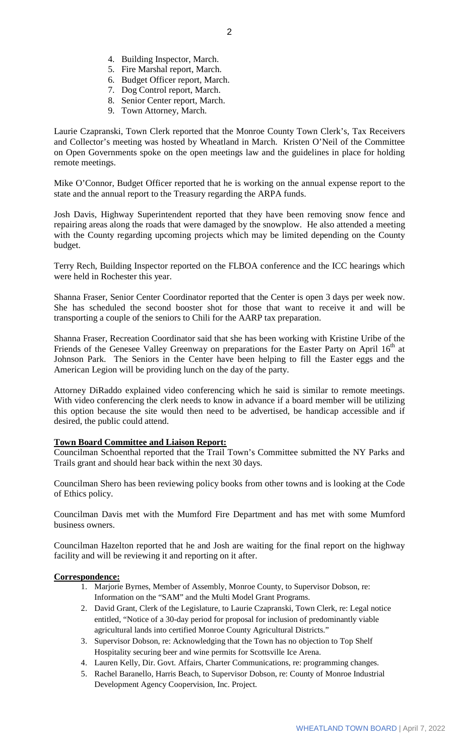- 4. Building Inspector, March.
- 5. Fire Marshal report, March.
- 6. Budget Officer report, March.
- 7. Dog Control report, March.
- 8. Senior Center report, March.
- 9. Town Attorney, March.

Laurie Czapranski, Town Clerk reported that the Monroe County Town Clerk's, Tax Receivers and Collector's meeting was hosted by Wheatland in March. Kristen O'Neil of the Committee on Open Governments spoke on the open meetings law and the guidelines in place for holding remote meetings.

Mike O'Connor, Budget Officer reported that he is working on the annual expense report to the state and the annual report to the Treasury regarding the ARPA funds.

Josh Davis, Highway Superintendent reported that they have been removing snow fence and repairing areas along the roads that were damaged by the snowplow. He also attended a meeting with the County regarding upcoming projects which may be limited depending on the County budget.

Terry Rech, Building Inspector reported on the FLBOA conference and the ICC hearings which were held in Rochester this year.

Shanna Fraser, Senior Center Coordinator reported that the Center is open 3 days per week now. She has scheduled the second booster shot for those that want to receive it and will be transporting a couple of the seniors to Chili for the AARP tax preparation.

Shanna Fraser, Recreation Coordinator said that she has been working with Kristine Uribe of the Friends of the Genesee Valley Greenway on preparations for the Easter Party on April 16<sup>th</sup> at Johnson Park. The Seniors in the Center have been helping to fill the Easter eggs and the American Legion will be providing lunch on the day of the party.

Attorney DiRaddo explained video conferencing which he said is similar to remote meetings. With video conferencing the clerk needs to know in advance if a board member will be utilizing this option because the site would then need to be advertised, be handicap accessible and if desired, the public could attend.

# **Town Board Committee and Liaison Report:**

Councilman Schoenthal reported that the Trail Town's Committee submitted the NY Parks and Trails grant and should hear back within the next 30 days.

Councilman Shero has been reviewing policy books from other towns and is looking at the Code of Ethics policy.

Councilman Davis met with the Mumford Fire Department and has met with some Mumford business owners.

Councilman Hazelton reported that he and Josh are waiting for the final report on the highway facility and will be reviewing it and reporting on it after.

#### **Correspondence:**

- 1. Marjorie Byrnes, Member of Assembly, Monroe County, to Supervisor Dobson, re: Information on the "SAM" and the Multi Model Grant Programs.
- 2. David Grant, Clerk of the Legislature, to Laurie Czapranski, Town Clerk, re: Legal notice entitled, "Notice of a 30-day period for proposal for inclusion of predominantly viable agricultural lands into certified Monroe County Agricultural Districts."
- 3. Supervisor Dobson, re: Acknowledging that the Town has no objection to Top Shelf Hospitality securing beer and wine permits for Scottsville Ice Arena.
- 4. Lauren Kelly, Dir. Govt. Affairs, Charter Communications, re: programming changes.
- 5. Rachel Baranello, Harris Beach, to Supervisor Dobson, re: County of Monroe Industrial Development Agency Coopervision, Inc. Project.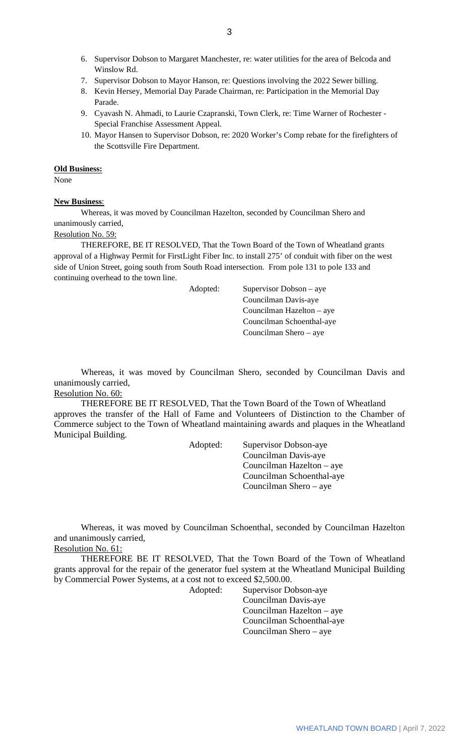- 6. Supervisor Dobson to Margaret Manchester, re: water utilities for the area of Belcoda and Winslow Rd.
- 7. Supervisor Dobson to Mayor Hanson, re: Questions involving the 2022 Sewer billing.
- 8. Kevin Hersey, Memorial Day Parade Chairman, re: Participation in the Memorial Day Parade.
- 9. Cyavash N. Ahmadi, to Laurie Czapranski, Town Clerk, re: Time Warner of Rochester Special Franchise Assessment Appeal.
- 10. Mayor Hansen to Supervisor Dobson, re: 2020 Worker's Comp rebate for the firefighters of the Scottsville Fire Department.

#### **Old Business:**

None

# **New Business**:

Whereas, it was moved by Councilman Hazelton, seconded by Councilman Shero and unanimously carried,

# Resolution No. 59:

THEREFORE, BE IT RESOLVED, That the Town Board of the Town of Wheatland grants approval of a Highway Permit for FirstLight Fiber Inc. to install 275' of conduit with fiber on the west side of Union Street, going south from South Road intersection. From pole 131 to pole 133 and continuing overhead to the town line.

Adopted: Supervisor Dobson – aye Councilman Davis-aye Councilman Hazelton – aye Councilman Schoenthal-aye Councilman Shero – aye

Whereas, it was moved by Councilman Shero, seconded by Councilman Davis and unanimously carried,

### Resolution No. 60:

THEREFORE BE IT RESOLVED, That the Town Board of the Town of Wheatland approves the transfer of the Hall of Fame and Volunteers of Distinction to the Chamber of Commerce subject to the Town of Wheatland maintaining awards and plaques in the Wheatland Municipal Building.

Adopted: Supervisor Dobson-aye

Councilman Davis-aye Councilman Hazelton – aye Councilman Schoenthal-aye Councilman Shero – aye

Whereas, it was moved by Councilman Schoenthal, seconded by Councilman Hazelton and unanimously carried, Resolution No. 61:

THEREFORE BE IT RESOLVED, That the Town Board of the Town of Wheatland grants approval for the repair of the generator fuel system at the Wheatland Municipal Building by Commercial Power Systems, at a cost not to exceed \$2,500.00.

Adopted: Supervisor Dobson-aye Councilman Davis-aye Councilman Hazelton – aye Councilman Schoenthal-aye Councilman Shero – aye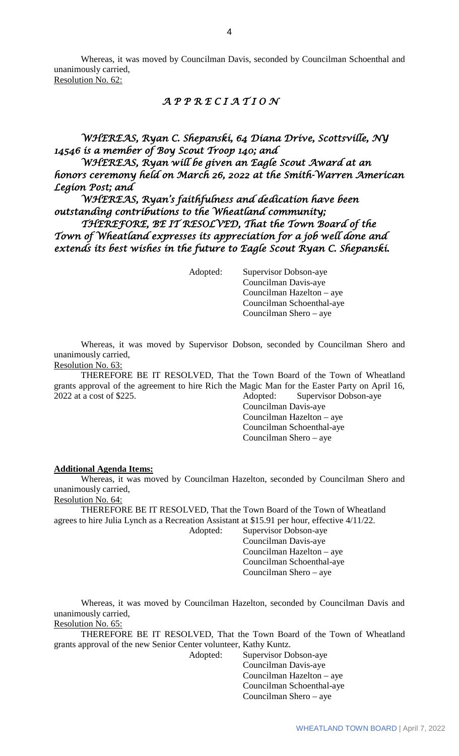Whereas, it was moved by Councilman Davis, seconded by Councilman Schoenthal and unanimously carried,

Resolution No. 62:

# *A P P R E C I A T I O N*

# *WHEREAS, Ryan C. Shepanski, 64 Diana Drive, Scottsville, NY 14546 is a member of Boy Scout Troop 140; and*

*WHEREAS, Ryan will be given an Eagle Scout Award at an honors ceremony held on March 26, 2022 at the Smith-Warren American Legion Post; and* 

*WHEREAS, Ryan's faithfulness and dedication have been outstanding contributions to the Wheatland community;* 

 *THEREFORE, BE IT RESOLVED, That the Town Board of the Town of Wheatland expresses its appreciation for a job well done and extends its best wishes in the future to Eagle Scout Ryan C. Shepanski.* 

Adopted: Supervisor Dobson-aye Councilman Davis-aye Councilman Hazelton – aye Councilman Schoenthal-aye Councilman Shero – aye

Whereas, it was moved by Supervisor Dobson, seconded by Councilman Shero and unanimously carried,

Resolution No. 63:

THEREFORE BE IT RESOLVED, That the Town Board of the Town of Wheatland grants approval of the agreement to hire Rich the Magic Man for the Easter Party on April 16, 2022 at a cost of \$225. Adopted: Supervisor Dobson-aye

Councilman Davis-aye Councilman Hazelton – aye Councilman Schoenthal-aye Councilman Shero – aye

#### **Additional Agenda Items:**

Whereas, it was moved by Councilman Hazelton, seconded by Councilman Shero and unanimously carried,

Resolution No. 64:

THEREFORE BE IT RESOLVED, That the Town Board of the Town of Wheatland agrees to hire Julia Lynch as a Recreation Assistant at \$15.91 per hour, effective 4/11/22.

Adopted: Supervisor Dobson-aye Councilman Davis-aye Councilman Hazelton – aye Councilman Schoenthal-aye

Councilman Shero – aye

Whereas, it was moved by Councilman Hazelton, seconded by Councilman Davis and unanimously carried, Resolution No. 65:

THEREFORE BE IT RESOLVED, That the Town Board of the Town of Wheatland grants approval of the new Senior Center volunteer, Kathy Kuntz.

Adopted: Supervisor Dobson-aye Councilman Davis-aye Councilman Hazelton – aye Councilman Schoenthal-aye Councilman Shero – aye